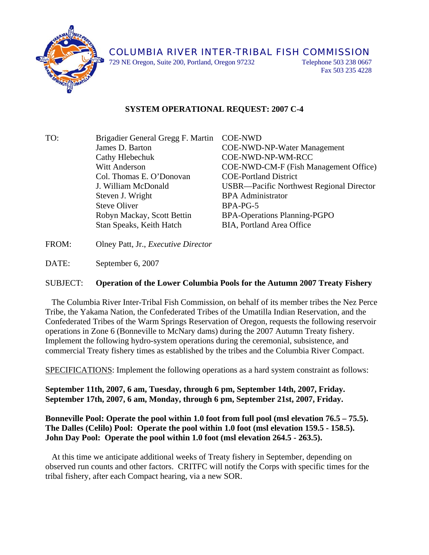

729 NE Oregon, Suite 200, Portland, Oregon 97232 Telephone 503 238 0667

Fax 503 235 4228

## **SYSTEM OPERATIONAL REQUEST: 2007 C-4**

TO: Brigadier General Gregg F. Martin COE-NWD James D. Barton COE-NWD-NP-Water Management Cathy Hlebechuk COE-NWD-NP-WM-RCC Witt Anderson COE-NWD-CM-F (Fish Management Office) Col. Thomas E. O'Donovan COE-Portland District J. William McDonald USBR—Pacific Northwest Regional Director Steven J. Wright BPA Administrator Steve Oliver BPA-PG-5 Robyn Mackay, Scott Bettin BPA-Operations Planning-PGPO Stan Speaks, Keith Hatch BIA, Portland Area Office

FROM: Olney Patt, Jr., *Executive Director*

DATE: September 6, 2007

## SUBJECT: **Operation of the Lower Columbia Pools for the Autumn 2007 Treaty Fishery**

 The Columbia River Inter-Tribal Fish Commission, on behalf of its member tribes the Nez Perce Tribe, the Yakama Nation, the Confederated Tribes of the Umatilla Indian Reservation, and the Confederated Tribes of the Warm Springs Reservation of Oregon, requests the following reservoir operations in Zone 6 (Bonneville to McNary dams) during the 2007 Autumn Treaty fishery. Implement the following hydro-system operations during the ceremonial, subsistence, and commercial Treaty fishery times as established by the tribes and the Columbia River Compact.

SPECIFICATIONS: Implement the following operations as a hard system constraint as follows:

**September 11th, 2007, 6 am, Tuesday, through 6 pm, September 14th, 2007, Friday. September 17th, 2007, 6 am, Monday, through 6 pm, September 21st, 2007, Friday.** 

## **Bonneville Pool: Operate the pool within 1.0 foot from full pool (msl elevation 76.5 – 75.5). The Dalles (Celilo) Pool: Operate the pool within 1.0 foot (msl elevation 159.5 - 158.5). John Day Pool: Operate the pool within 1.0 foot (msl elevation 264.5 - 263.5).**

 At this time we anticipate additional weeks of Treaty fishery in September, depending on observed run counts and other factors. CRITFC will notify the Corps with specific times for the tribal fishery, after each Compact hearing, via a new SOR.